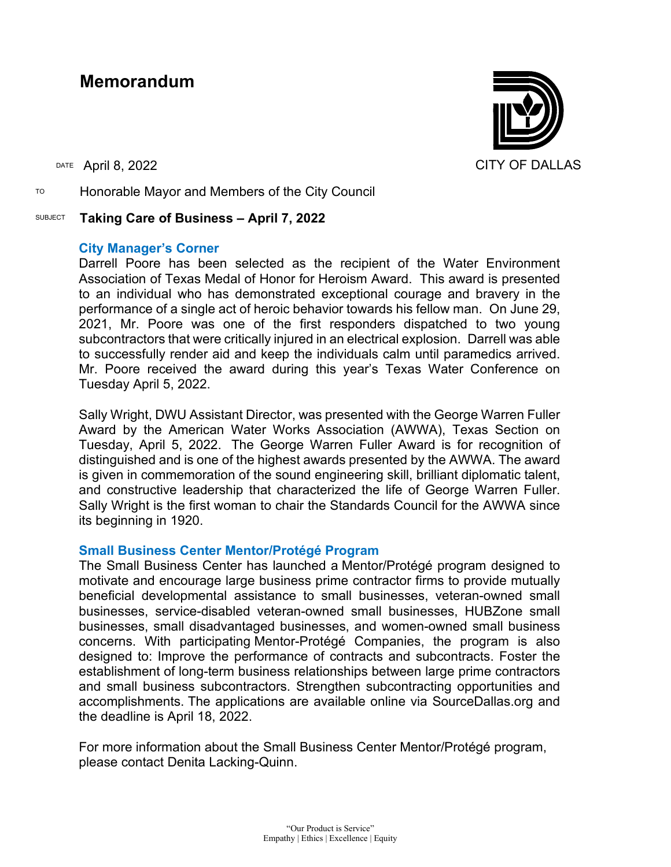# **Memorandum**

TO Honorable Mayor and Members of the City Council

## SUBJECT **Taking Care of Business – April 7, 2022**

## **City Manager's Corner**

Darrell Poore has been selected as the recipient of the Water Environment Association of Texas Medal of Honor for Heroism Award. This award is presented to an individual who has demonstrated exceptional courage and bravery in the performance of a single act of heroic behavior towards his fellow man. On June 29, 2021, Mr. Poore was one of the first responders dispatched to two young subcontractors that were critically injured in an electrical explosion. Darrell was able to successfully render aid and keep the individuals calm until paramedics arrived. Mr. Poore received the award during this year's Texas Water Conference on Tuesday April 5, 2022.

Sally Wright, DWU Assistant Director, was presented with the George Warren Fuller Award by the American Water Works Association (AWWA), Texas Section on Tuesday, April 5, 2022. The George Warren Fuller Award is for recognition of distinguished and is one of the highest awards presented by the AWWA. The award is given in commemoration of the sound engineering skill, brilliant diplomatic talent, and constructive leadership that characterized the life of George Warren Fuller. Sally Wright is the first woman to chair the Standards Council for the AWWA since its beginning in 1920.

# **Small Business Center Mentor/Protégé Program**

The Small Business Center has launched a Mentor/Protégé program designed to motivate and encourage large business prime contractor firms to provide mutually beneficial developmental assistance to small businesses, veteran-owned small businesses, service-disabled veteran-owned small businesses, HUBZone small businesses, small disadvantaged businesses, and women-owned small business concerns. With participating Mentor-Protégé Companies, the program is also designed to: Improve the performance of contracts and subcontracts. Foster the establishment of long-term business relationships between large prime contractors and small business subcontractors. Strengthen subcontracting opportunities and accomplishments. The applications are available online via SourceDallas.org and the deadline is April 18, 2022.

For more information about the Small Business Center Mentor/Protégé program, please contact Denita Lacking-Quinn.

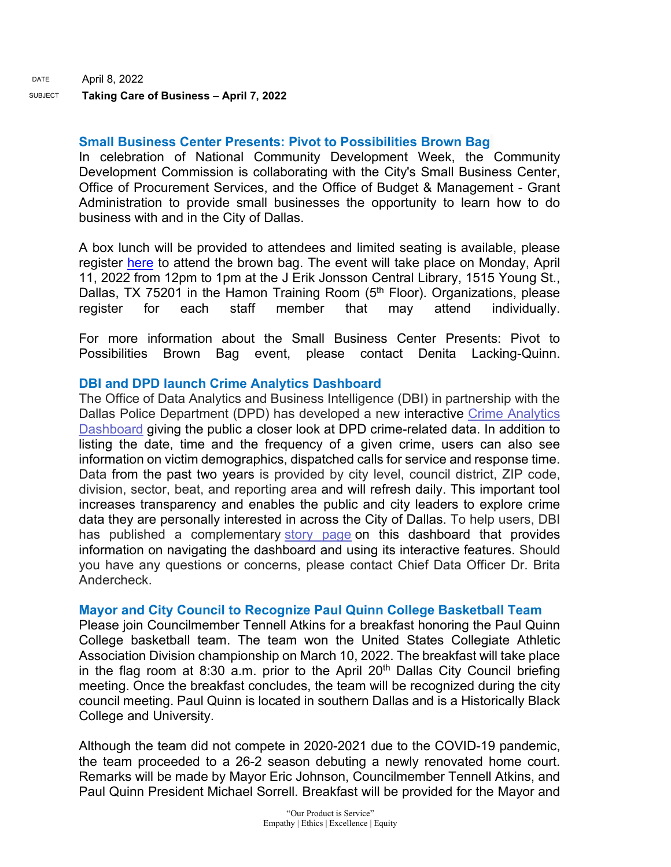#### **Small Business Center Presents: Pivot to Possibilities Brown Bag**

In celebration of National Community Development Week, the Community Development Commission is collaborating with the City's Small Business Center, Office of Procurement Services, and the Office of Budget & Management - Grant Administration to provide small businesses the opportunity to learn how to do business with and in the City of Dallas.

A box lunch will be provided to attendees and limited seating is available, please register [here](https://forms.office.com/pages/responsepage.aspx?id=nnA1KQzBCUijAoUtNp-HAPQW-gQQL_5AjxfGFGhILfdUNVE0WUdXM1Y5MVlZRldQTlZaVVFaSjZMWi4u) to attend the brown bag. The event will take place on Monday, April 11, 2022 from 12pm to 1pm at the J Erik Jonsson Central Library, 1515 Young St., Dallas, TX 75201 in the Hamon Training Room (5<sup>th</sup> Floor). Organizations, please register for each staff member that may attend individually.

For more information about the Small Business Center Presents: Pivot to Possibilities Brown Bag event, please contact Denita Lacking-Quinn.

# **DBI and DPD launch Crime Analytics Dashboard**

The Office of Data Analytics and Business Intelligence (DBI) in partnership with the Dallas Police Department (DPD) has developed a new interactive [Crime Analytics](https://gcc02.safelinks.protection.outlook.com/?url=https%3A%2F%2Fdallascitydata.dallascityhall.com%2F%23%2Fviews%2FCrimeAnalyticsDashboard%2FCrimeOverviewD%3F%3AshowAppBanner%3Dfalse%26%3Adisplay_count%3Dn%26%3AshowVizHome%3Dn%26%3Aorigin%3Dviz_share_link%26%3Arefresh%3Dyes&data=04%7C01%7Ctatjana.williams%40dallascityhall.com%7C900a24c0ae01401d77bc08da174fae8d%7C2935709ec10c4809a302852d369f8700%7C0%7C0%7C637847928250737856%7CUnknown%7CTWFpbGZsb3d8eyJWIjoiMC4wLjAwMDAiLCJQIjoiV2luMzIiLCJBTiI6Ik1haWwiLCJXVCI6Mn0%3D%7C3000&sdata=cAl0fh%2FrGaF5E4BfyDM9GaEf3BhJ%2BK%2FggHHTDcHtetE%3D&reserved=0)  [Dashboard](https://gcc02.safelinks.protection.outlook.com/?url=https%3A%2F%2Fdallascitydata.dallascityhall.com%2F%23%2Fviews%2FCrimeAnalyticsDashboard%2FCrimeOverviewD%3F%3AshowAppBanner%3Dfalse%26%3Adisplay_count%3Dn%26%3AshowVizHome%3Dn%26%3Aorigin%3Dviz_share_link%26%3Arefresh%3Dyes&data=04%7C01%7Ctatjana.williams%40dallascityhall.com%7C900a24c0ae01401d77bc08da174fae8d%7C2935709ec10c4809a302852d369f8700%7C0%7C0%7C637847928250737856%7CUnknown%7CTWFpbGZsb3d8eyJWIjoiMC4wLjAwMDAiLCJQIjoiV2luMzIiLCJBTiI6Ik1haWwiLCJXVCI6Mn0%3D%7C3000&sdata=cAl0fh%2FrGaF5E4BfyDM9GaEf3BhJ%2BK%2FggHHTDcHtetE%3D&reserved=0) giving the public a closer look at DPD crime-related data. In addition to listing the date, time and the frequency of a given crime, users can also see information on victim demographics, dispatched calls for service and response time. Data from the past two years is provided by city level, council district, ZIP code, division, sector, beat, and reporting area and will refresh daily. This important tool increases transparency and enables the public and city leaders to explore crime data they are personally interested in across the City of Dallas. To help users, DBI has published a complementary [story page](https://gcc02.safelinks.protection.outlook.com/?url=https%3A%2F%2Fwww.dallasopendata.com%2Fstories%2Fs%2Fr6fp-tbph&data=04%7C01%7Ctatjana.williams%40dallascityhall.com%7C900a24c0ae01401d77bc08da174fae8d%7C2935709ec10c4809a302852d369f8700%7C0%7C0%7C637847928250737856%7CUnknown%7CTWFpbGZsb3d8eyJWIjoiMC4wLjAwMDAiLCJQIjoiV2luMzIiLCJBTiI6Ik1haWwiLCJXVCI6Mn0%3D%7C3000&sdata=OIj0rmXODtGjHZMkwvFOfzozrbmgz3G2ij4BWRWfE%2BY%3D&reserved=0) on this dashboard that provides information on navigating the dashboard and using its interactive features. Should you have any questions or concerns, please contact Chief Data Officer Dr. Brita Andercheck.

# **Mayor and City Council to Recognize Paul Quinn College Basketball Team**

Please join Councilmember Tennell Atkins for a breakfast honoring the Paul Quinn College basketball team. The team won the United States Collegiate Athletic Association Division championship on March 10, 2022. The breakfast will take place in the flag room at 8:30 a.m. prior to the April  $20<sup>th</sup>$  Dallas City Council briefing meeting. Once the breakfast concludes, the team will be recognized during the city council meeting. Paul Quinn is located in southern Dallas and is a Historically Black College and University.

Although the team did not compete in 2020-2021 due to the COVID-19 pandemic, the team proceeded to a 26-2 season debuting a newly renovated home court. Remarks will be made by Mayor Eric Johnson, Councilmember Tennell Atkins, and Paul Quinn President Michael Sorrell. Breakfast will be provided for the Mayor and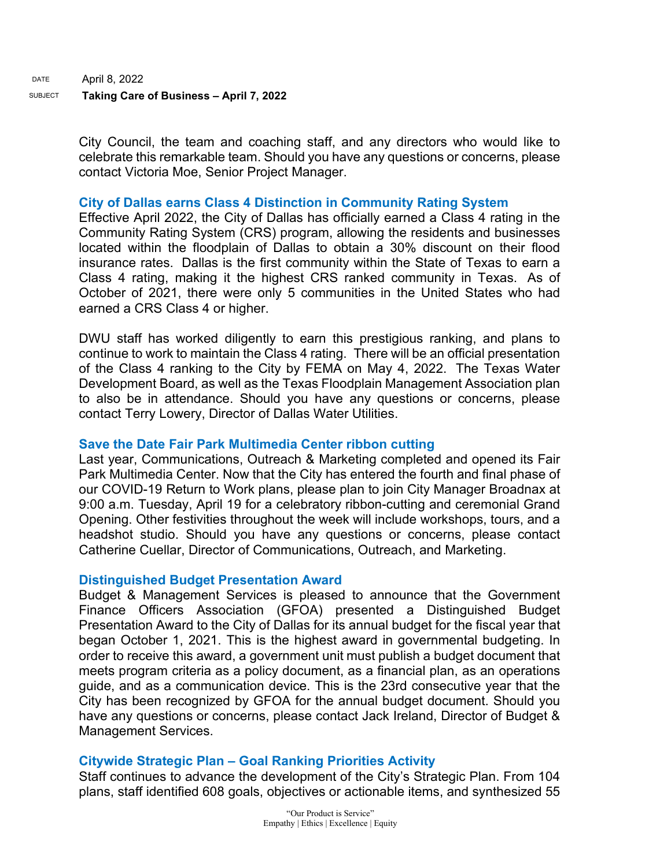City Council, the team and coaching staff, and any directors who would like to celebrate this remarkable team. Should you have any questions or concerns, please contact Victoria Moe, Senior Project Manager.

## **City of Dallas earns Class 4 Distinction in Community Rating System**

Effective April 2022, the City of Dallas has officially earned a Class 4 rating in the Community Rating System (CRS) program, allowing the residents and businesses located within the floodplain of Dallas to obtain a 30% discount on their flood insurance rates. Dallas is the first community within the State of Texas to earn a Class 4 rating, making it the highest CRS ranked community in Texas. As of October of 2021, there were only 5 communities in the United States who had earned a CRS Class 4 or higher.

DWU staff has worked diligently to earn this prestigious ranking, and plans to continue to work to maintain the Class 4 rating. There will be an official presentation of the Class 4 ranking to the City by FEMA on May 4, 2022. The Texas Water Development Board, as well as the Texas Floodplain Management Association plan to also be in attendance. Should you have any questions or concerns, please contact Terry Lowery, Director of Dallas Water Utilities.

# **Save the Date Fair Park Multimedia Center ribbon cutting**

Last year, Communications, Outreach & Marketing completed and opened its Fair Park Multimedia Center. Now that the City has entered the fourth and final phase of our COVID-19 Return to Work plans, please plan to join City Manager Broadnax at 9:00 a.m. Tuesday, April 19 for a celebratory ribbon-cutting and ceremonial Grand Opening. Other festivities throughout the week will include workshops, tours, and a headshot studio. Should you have any questions or concerns, please contact Catherine Cuellar, Director of Communications, Outreach, and Marketing.

#### **Distinguished Budget Presentation Award**

Budget & Management Services is pleased to announce that the Government Finance Officers Association (GFOA) presented a Distinguished Budget Presentation Award to the City of Dallas for its annual budget for the fiscal year that began October 1, 2021. This is the highest award in governmental budgeting. In order to receive this award, a government unit must publish a budget document that meets program criteria as a policy document, as a financial plan, as an operations guide, and as a communication device. This is the 23rd consecutive year that the City has been recognized by GFOA for the annual budget document. Should you have any questions or concerns, please contact Jack Ireland, Director of Budget & Management Services.

# **Citywide Strategic Plan – Goal Ranking Priorities Activity**

Staff continues to advance the development of the City's Strategic Plan. From 104 plans, staff identified 608 goals, objectives or actionable items, and synthesized 55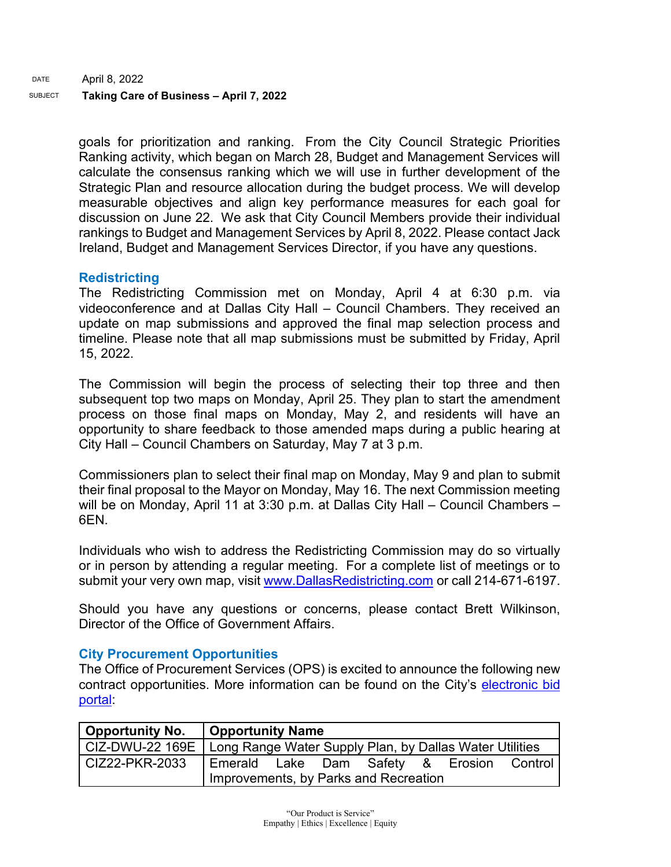DATE April 8, 2022 SUBJECT **Taking Care of Business – April 7, 2022** 

> goals for prioritization and ranking. From the City Council Strategic Priorities Ranking activity, which began on March 28, Budget and Management Services will calculate the consensus ranking which we will use in further development of the Strategic Plan and resource allocation during the budget process. We will develop measurable objectives and align key performance measures for each goal for discussion on June 22. We ask that City Council Members provide their individual rankings to Budget and Management Services by April 8, 2022. Please contact Jack Ireland, Budget and Management Services Director, if you have any questions.

# **Redistricting**

The Redistricting Commission met on Monday, April 4 at 6:30 p.m. via videoconference and at Dallas City Hall – Council Chambers. They received an update on map submissions and approved the final map selection process and timeline. Please note that all map submissions must be submitted by Friday, April 15, 2022.

The Commission will begin the process of selecting their top three and then subsequent top two maps on Monday, April 25. They plan to start the amendment process on those final maps on Monday, May 2, and residents will have an opportunity to share feedback to those amended maps during a public hearing at City Hall – Council Chambers on Saturday, May 7 at 3 p.m.

Commissioners plan to select their final map on Monday, May 9 and plan to submit their final proposal to the Mayor on Monday, May 16. The next Commission meeting will be on Monday, April 11 at 3:30 p.m. at Dallas City Hall – Council Chambers – 6EN.

Individuals who wish to address the Redistricting Commission may do so virtually or in person by attending a regular meeting. For a complete list of meetings or to submit your very own map, visit [www.DallasRedistricting.com](https://gcc02.safelinks.protection.outlook.com/?url=http%3A%2F%2Fwww.dallasredistricting.com%2F&data=04%7C01%7Ctatjana.williams%40dallascityhall.com%7Cbb20745bdc434938f58608da17dedc64%7C2935709ec10c4809a302852d369f8700%7C0%7C0%7C637848543194262403%7CUnknown%7CTWFpbGZsb3d8eyJWIjoiMC4wLjAwMDAiLCJQIjoiV2luMzIiLCJBTiI6Ik1haWwiLCJXVCI6Mn0%3D%7C3000&sdata=LkJnNN8vAXlJSPFxsQlOqkoiO1ZVdCT2OgLIdL15lN0%3D&reserved=0) or call 214-671-6197.

Should you have any questions or concerns, please contact Brett Wilkinson, Director of the Office of Government Affairs.

# **City Procurement Opportunities**

The Office of Procurement Services (OPS) is excited to announce the following new contract opportunities. More information can be found on the City's [electronic bid](https://gcc02.safelinks.protection.outlook.com/?url=https%3A%2F%2Fdallascityhall.bonfirehub.com%2Fportal%2F%3Ftab%3DopenOpportunities&data=04%7C01%7Ctatjana.williams%40dallascityhall.com%7Cbd5a1b534d994e1b857c08da170fc2cb%7C2935709ec10c4809a302852d369f8700%7C0%7C0%7C637847653697249266%7CUnknown%7CTWFpbGZsb3d8eyJWIjoiMC4wLjAwMDAiLCJQIjoiV2luMzIiLCJBTiI6Ik1haWwiLCJXVCI6Mn0%3D%7C3000&sdata=6st5%2FYC%2BiqJYJoTvDL8w55tNP2P7wgs41ucHar21u04%3D&reserved=0)  [portal:](https://gcc02.safelinks.protection.outlook.com/?url=https%3A%2F%2Fdallascityhall.bonfirehub.com%2Fportal%2F%3Ftab%3DopenOpportunities&data=04%7C01%7Ctatjana.williams%40dallascityhall.com%7Cbd5a1b534d994e1b857c08da170fc2cb%7C2935709ec10c4809a302852d369f8700%7C0%7C0%7C637847653697249266%7CUnknown%7CTWFpbGZsb3d8eyJWIjoiMC4wLjAwMDAiLCJQIjoiV2luMzIiLCJBTiI6Ik1haWwiLCJXVCI6Mn0%3D%7C3000&sdata=6st5%2FYC%2BiqJYJoTvDL8w55tNP2P7wgs41ucHar21u04%3D&reserved=0)

|                | Opportunity No.   Opportunity Name                                        |  |  |  |  |  |  |
|----------------|---------------------------------------------------------------------------|--|--|--|--|--|--|
|                | CIZ-DWU-22 169E   Long Range Water Supply Plan, by Dallas Water Utilities |  |  |  |  |  |  |
| CIZ22-PKR-2033 | Emerald Lake Dam Safety & Erosion Control                                 |  |  |  |  |  |  |
|                | Improvements, by Parks and Recreation                                     |  |  |  |  |  |  |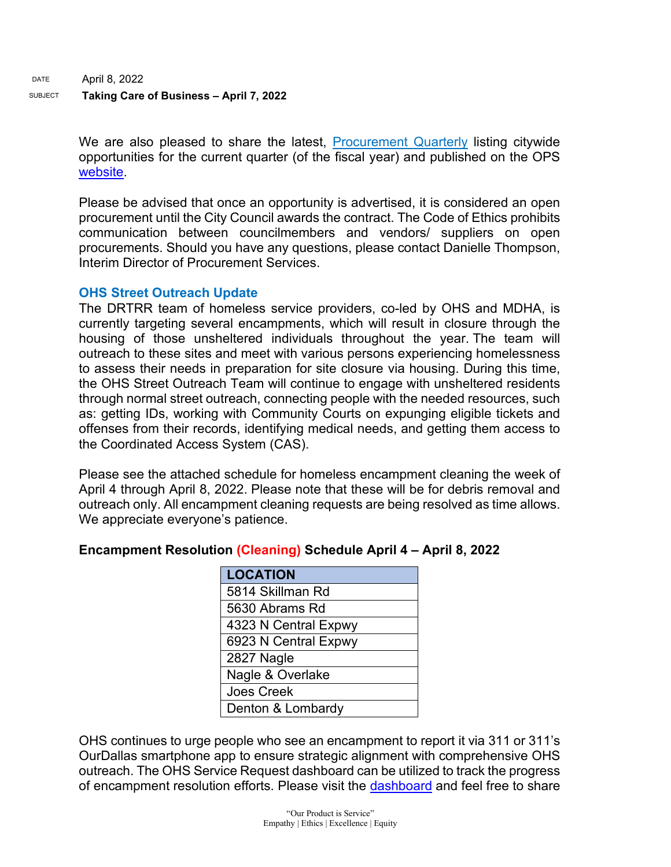DATE April 8, 2022

# SUBJECT **Taking Care of Business – April 7, 2022**

We are also pleased to share the latest, [Procurement Quarterly](https://gcc02.safelinks.protection.outlook.com/?url=https%3A%2F%2Fdallascityhall.com%2Fdepartments%2Fprocurement%2FDocuments%2FOPS%2520FY22%2520Q3%2520Procurement%2520Quarterly.pdf&data=04%7C01%7Ctatjana.williams%40dallascityhall.com%7Cbd5a1b534d994e1b857c08da170fc2cb%7C2935709ec10c4809a302852d369f8700%7C0%7C0%7C637847653697249266%7CUnknown%7CTWFpbGZsb3d8eyJWIjoiMC4wLjAwMDAiLCJQIjoiV2luMzIiLCJBTiI6Ik1haWwiLCJXVCI6Mn0%3D%7C3000&sdata=mFO84GNnCdxyke39bcoVHeTF2nZApPA0JMeQWHF%2FnBI%3D&reserved=0) listing citywide opportunities for the current quarter (of the fiscal year) and published on the OPS [website.](https://gcc02.safelinks.protection.outlook.com/?url=https%3A%2F%2Fdallascityhall.com%2Fdepartments%2Fprocurement%2FPages%2Fdefault.aspx&data=04%7C01%7Ctatjana.williams%40dallascityhall.com%7Cbd5a1b534d994e1b857c08da170fc2cb%7C2935709ec10c4809a302852d369f8700%7C0%7C0%7C637847653697249266%7CUnknown%7CTWFpbGZsb3d8eyJWIjoiMC4wLjAwMDAiLCJQIjoiV2luMzIiLCJBTiI6Ik1haWwiLCJXVCI6Mn0%3D%7C3000&sdata=GzPMa1xwtdSvYVH2eCYQYjIs046DZGRL6Oe9C7BDRco%3D&reserved=0)

Please be advised that once an opportunity is advertised, it is considered an open procurement until the City Council awards the contract. The Code of Ethics prohibits communication between councilmembers and vendors/ suppliers on open procurements. Should you have any questions, please contact Danielle Thompson, Interim Director of Procurement Services.

# **OHS Street Outreach Update**

The DRTRR team of homeless service providers, co-led by OHS and MDHA, is currently targeting several encampments, which will result in closure through the housing of those unsheltered individuals throughout the year. The team will outreach to these sites and meet with various persons experiencing homelessness to assess their needs in preparation for site closure via housing. During this time, the OHS Street Outreach Team will continue to engage with unsheltered residents through normal street outreach, connecting people with the needed resources, such as: getting IDs, working with Community Courts on expunging eligible tickets and offenses from their records, identifying medical needs, and getting them access to the Coordinated Access System (CAS).

Please see the attached schedule for homeless encampment cleaning the week of April 4 through April 8, 2022. Please note that these will be for debris removal and outreach only. All encampment cleaning requests are being resolved as time allows. We appreciate everyone's patience.

# **Encampment Resolution (Cleaning) Schedule April 4 – April 8, 2022**

| <b>LOCATION</b>      |  |  |
|----------------------|--|--|
| 5814 Skillman Rd     |  |  |
| 5630 Abrams Rd       |  |  |
| 4323 N Central Expwy |  |  |
| 6923 N Central Expwy |  |  |
| 2827 Nagle           |  |  |
| Nagle & Overlake     |  |  |
| <b>Joes Creek</b>    |  |  |
| Denton & Lombardy    |  |  |

OHS continues to urge people who see an encampment to report it via 311 or 311's OurDallas smartphone app to ensure strategic alignment with comprehensive OHS outreach. The OHS Service Request dashboard can be utilized to track the progress of encampment resolution efforts. Please visit the [dashboard](https://gcc02.safelinks.protection.outlook.com/?url=https%3A%2F%2Fdallasgis.maps.arcgis.com%2Fapps%2Fopsdashboard%2Findex.html%23%2Fccd41f0d795f407a94ae17e2c27bf073&data=04%7C01%7CAmanda.Voigt%40dallascityhall.com%7C45f12cc3352040105b8308d9fbcb6d7a%7C2935709ec10c4809a302852d369f8700%7C0%7C0%7C637817673400555821%7CUnknown%7CTWFpbGZsb3d8eyJWIjoiMC4wLjAwMDAiLCJQIjoiV2luMzIiLCJBTiI6Ik1haWwiLCJXVCI6Mn0%3D%7C3000&sdata=zBK9TJ%2FxRq23uCczgqh0DBvzdKPq6ITbYwpLxvg3nLI%3D&reserved=0) and feel free to share